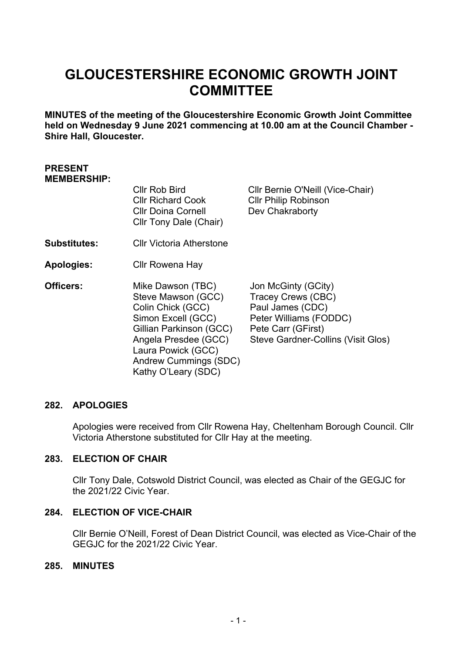# **GLOUCESTERSHIRE ECONOMIC GROWTH JOINT COMMITTEE**

**MINUTES of the meeting of the Gloucestershire Economic Growth Joint Committee held on Wednesday 9 June 2021 commencing at 10.00 am at the Council Chamber - Shire Hall, Gloucester.**

#### **PRESENT MEMBERSHIP:**

|                     | Cllr Rob Bird<br><b>CIIr Richard Cook</b><br><b>Cllr Doina Cornell</b><br>Cllr Tony Dale (Chair)                                                                                                            | Cllr Bernie O'Neill (Vice-Chair)<br><b>CIIr Philip Robinson</b><br>Dev Chakraborty                                                                  |
|---------------------|-------------------------------------------------------------------------------------------------------------------------------------------------------------------------------------------------------------|-----------------------------------------------------------------------------------------------------------------------------------------------------|
| <b>Substitutes:</b> | <b>CIIr Victoria Atherstone</b>                                                                                                                                                                             |                                                                                                                                                     |
| <b>Apologies:</b>   | Cllr Rowena Hay                                                                                                                                                                                             |                                                                                                                                                     |
| Officers:           | Mike Dawson (TBC)<br>Steve Mawson (GCC)<br>Colin Chick (GCC)<br>Simon Excell (GCC)<br>Gillian Parkinson (GCC)<br>Angela Presdee (GCC)<br>Laura Powick (GCC)<br>Andrew Cummings (SDC)<br>Kathy O'Leary (SDC) | Jon McGinty (GCity)<br>Tracey Crews (CBC)<br>Paul James (CDC)<br>Peter Williams (FODDC)<br>Pete Carr (GFirst)<br>Steve Gardner-Collins (Visit Glos) |

## **282. APOLOGIES**

Apologies were received from Cllr Rowena Hay, Cheltenham Borough Council. Cllr Victoria Atherstone substituted for Cllr Hay at the meeting.

#### **283. ELECTION OF CHAIR**

Cllr Tony Dale, Cotswold District Council, was elected as Chair of the GEGJC for the 2021/22 Civic Year.

#### **284. ELECTION OF VICE-CHAIR**

Cllr Bernie O'Neill, Forest of Dean District Council, was elected as Vice-Chair of the GEGJC for the 2021/22 Civic Year.

## **285. MINUTES**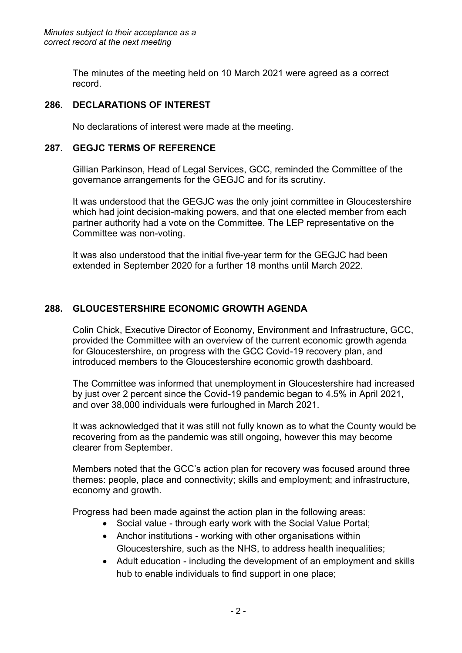The minutes of the meeting held on 10 March 2021 were agreed as a correct record.

## **286. DECLARATIONS OF INTEREST**

No declarations of interest were made at the meeting.

# **287. GEGJC TERMS OF REFERENCE**

Gillian Parkinson, Head of Legal Services, GCC, reminded the Committee of the governance arrangements for the GEGJC and for its scrutiny.

It was understood that the GEGJC was the only joint committee in Gloucestershire which had joint decision-making powers, and that one elected member from each partner authority had a vote on the Committee. The LEP representative on the Committee was non-voting.

It was also understood that the initial five-year term for the GEGJC had been extended in September 2020 for a further 18 months until March 2022.

# **288. GLOUCESTERSHIRE ECONOMIC GROWTH AGENDA**

Colin Chick, Executive Director of Economy, Environment and Infrastructure, GCC, provided the Committee with an overview of the current economic growth agenda for Gloucestershire, on progress with the GCC Covid-19 recovery plan, and introduced members to the Gloucestershire economic growth dashboard.

The Committee was informed that unemployment in Gloucestershire had increased by just over 2 percent since the Covid-19 pandemic began to 4.5% in April 2021, and over 38,000 individuals were furloughed in March 2021.

It was acknowledged that it was still not fully known as to what the County would be recovering from as the pandemic was still ongoing, however this may become clearer from September.

Members noted that the GCC's action plan for recovery was focused around three themes: people, place and connectivity; skills and employment; and infrastructure, economy and growth.

Progress had been made against the action plan in the following areas:

- Social value through early work with the Social Value Portal:
- Anchor institutions working with other organisations within Gloucestershire, such as the NHS, to address health inequalities;
- Adult education including the development of an employment and skills hub to enable individuals to find support in one place;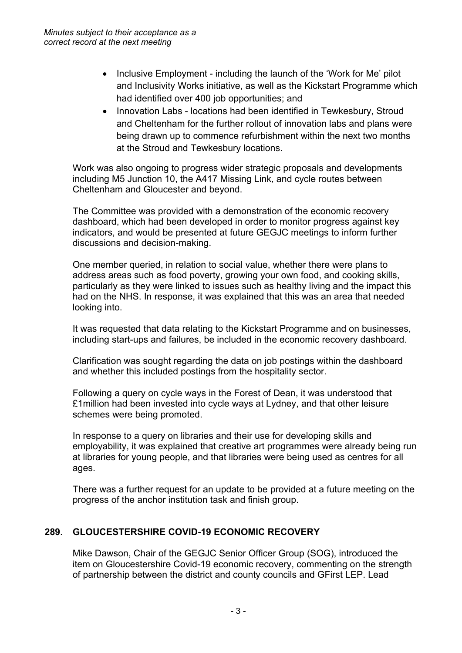- Inclusive Employment including the launch of the 'Work for Me' pilot and Inclusivity Works initiative, as well as the Kickstart Programme which had identified over 400 job opportunities; and
- Innovation Labs locations had been identified in Tewkesbury, Stroud and Cheltenham for the further rollout of innovation labs and plans were being drawn up to commence refurbishment within the next two months at the Stroud and Tewkesbury locations.

Work was also ongoing to progress wider strategic proposals and developments including M5 Junction 10, the A417 Missing Link, and cycle routes between Cheltenham and Gloucester and beyond.

The Committee was provided with a demonstration of the economic recovery dashboard, which had been developed in order to monitor progress against key indicators, and would be presented at future GEGJC meetings to inform further discussions and decision-making.

One member queried, in relation to social value, whether there were plans to address areas such as food poverty, growing your own food, and cooking skills, particularly as they were linked to issues such as healthy living and the impact this had on the NHS. In response, it was explained that this was an area that needed looking into.

It was requested that data relating to the Kickstart Programme and on businesses, including start-ups and failures, be included in the economic recovery dashboard.

Clarification was sought regarding the data on job postings within the dashboard and whether this included postings from the hospitality sector.

Following a query on cycle ways in the Forest of Dean, it was understood that £1million had been invested into cycle ways at Lydney, and that other leisure schemes were being promoted.

In response to a query on libraries and their use for developing skills and employability, it was explained that creative art programmes were already being run at libraries for young people, and that libraries were being used as centres for all ages.

There was a further request for an update to be provided at a future meeting on the progress of the anchor institution task and finish group.

# **289. GLOUCESTERSHIRE COVID-19 ECONOMIC RECOVERY**

Mike Dawson, Chair of the GEGJC Senior Officer Group (SOG), introduced the item on Gloucestershire Covid-19 economic recovery, commenting on the strength of partnership between the district and county councils and GFirst LEP. Lead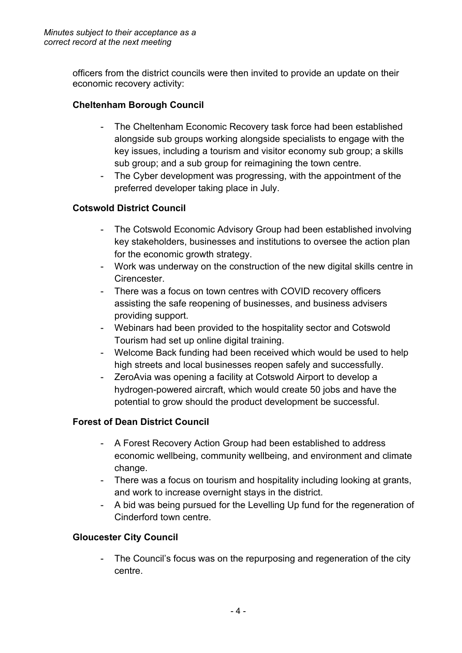officers from the district councils were then invited to provide an update on their economic recovery activity:

# **Cheltenham Borough Council**

- The Cheltenham Economic Recovery task force had been established alongside sub groups working alongside specialists to engage with the key issues, including a tourism and visitor economy sub group; a skills sub group; and a sub group for reimagining the town centre.
- The Cyber development was progressing, with the appointment of the preferred developer taking place in July.

# **Cotswold District Council**

- The Cotswold Economic Advisory Group had been established involving key stakeholders, businesses and institutions to oversee the action plan for the economic growth strategy.
- Work was underway on the construction of the new digital skills centre in **Cirencester**
- There was a focus on town centres with COVID recovery officers assisting the safe reopening of businesses, and business advisers providing support.
- Webinars had been provided to the hospitality sector and Cotswold Tourism had set up online digital training.
- Welcome Back funding had been received which would be used to help high streets and local businesses reopen safely and successfully.
- ZeroAvia was opening a facility at Cotswold Airport to develop a hydrogen-powered aircraft, which would create 50 jobs and have the potential to grow should the product development be successful.

## **Forest of Dean District Council**

- A Forest Recovery Action Group had been established to address economic wellbeing, community wellbeing, and environment and climate change.
- There was a focus on tourism and hospitality including looking at grants, and work to increase overnight stays in the district.
- A bid was being pursued for the Levelling Up fund for the regeneration of Cinderford town centre.

## **Gloucester City Council**

- The Council's focus was on the repurposing and regeneration of the city centre.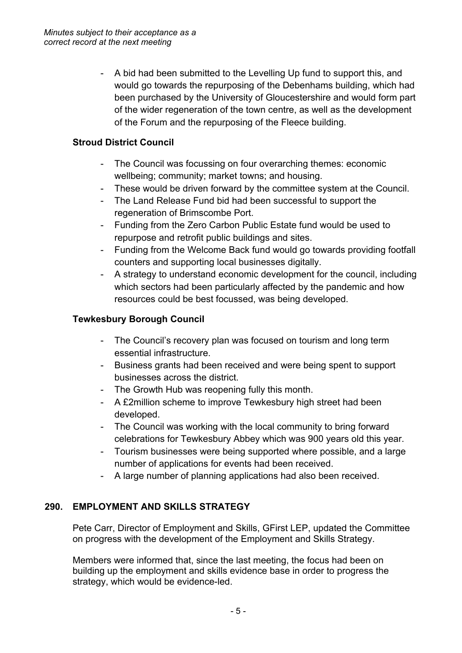- A bid had been submitted to the Levelling Up fund to support this, and would go towards the repurposing of the Debenhams building, which had been purchased by the University of Gloucestershire and would form part of the wider regeneration of the town centre, as well as the development of the Forum and the repurposing of the Fleece building.

# **Stroud District Council**

- The Council was focussing on four overarching themes: economic wellbeing; community; market towns; and housing.
- These would be driven forward by the committee system at the Council.
- The Land Release Fund bid had been successful to support the regeneration of Brimscombe Port.
- Funding from the Zero Carbon Public Estate fund would be used to repurpose and retrofit public buildings and sites.
- Funding from the Welcome Back fund would go towards providing footfall counters and supporting local businesses digitally.
- A strategy to understand economic development for the council, including which sectors had been particularly affected by the pandemic and how resources could be best focussed, was being developed.

# **Tewkesbury Borough Council**

- The Council's recovery plan was focused on tourism and long term essential infrastructure.
- Business grants had been received and were being spent to support businesses across the district.
- The Growth Hub was reopening fully this month.
- A £2million scheme to improve Tewkesbury high street had been developed.
- The Council was working with the local community to bring forward celebrations for Tewkesbury Abbey which was 900 years old this year.
- Tourism businesses were being supported where possible, and a large number of applications for events had been received.
- A large number of planning applications had also been received.

# **290. EMPLOYMENT AND SKILLS STRATEGY**

Pete Carr, Director of Employment and Skills, GFirst LEP, updated the Committee on progress with the development of the Employment and Skills Strategy.

Members were informed that, since the last meeting, the focus had been on building up the employment and skills evidence base in order to progress the strategy, which would be evidence-led.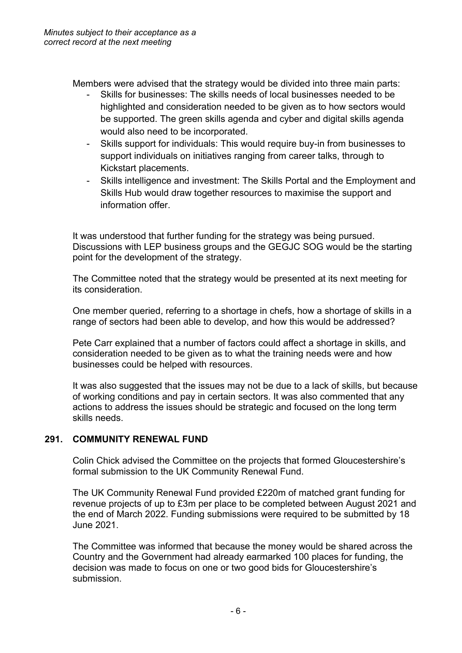Members were advised that the strategy would be divided into three main parts:

- Skills for businesses: The skills needs of local businesses needed to be highlighted and consideration needed to be given as to how sectors would be supported. The green skills agenda and cyber and digital skills agenda would also need to be incorporated.
- Skills support for individuals: This would require buy-in from businesses to support individuals on initiatives ranging from career talks, through to Kickstart placements.
- Skills intelligence and investment: The Skills Portal and the Employment and Skills Hub would draw together resources to maximise the support and information offer.

It was understood that further funding for the strategy was being pursued. Discussions with LEP business groups and the GEGJC SOG would be the starting point for the development of the strategy.

The Committee noted that the strategy would be presented at its next meeting for its consideration.

One member queried, referring to a shortage in chefs, how a shortage of skills in a range of sectors had been able to develop, and how this would be addressed?

Pete Carr explained that a number of factors could affect a shortage in skills, and consideration needed to be given as to what the training needs were and how businesses could be helped with resources.

It was also suggested that the issues may not be due to a lack of skills, but because of working conditions and pay in certain sectors. It was also commented that any actions to address the issues should be strategic and focused on the long term skills needs.

## **291. COMMUNITY RENEWAL FUND**

Colin Chick advised the Committee on the projects that formed Gloucestershire's formal submission to the UK Community Renewal Fund.

The UK Community Renewal Fund provided £220m of matched grant funding for revenue projects of up to £3m per place to be completed between August 2021 and the end of March 2022. Funding submissions were required to be submitted by 18 June 2021.

The Committee was informed that because the money would be shared across the Country and the Government had already earmarked 100 places for funding, the decision was made to focus on one or two good bids for Gloucestershire's submission.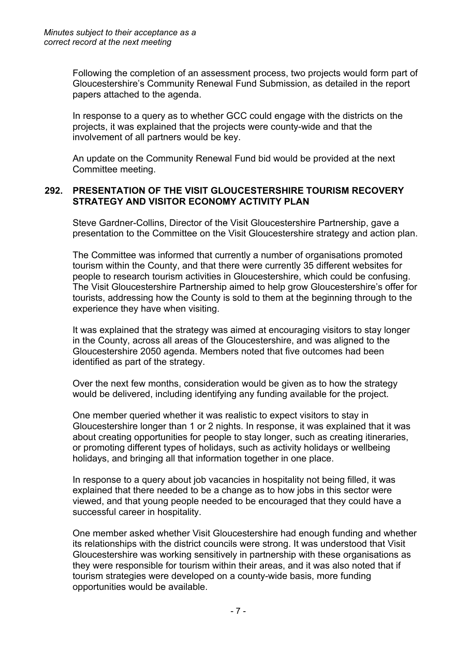Following the completion of an assessment process, two projects would form part of Gloucestershire's Community Renewal Fund Submission, as detailed in the report papers attached to the agenda.

In response to a query as to whether GCC could engage with the districts on the projects, it was explained that the projects were county-wide and that the involvement of all partners would be key.

An update on the Community Renewal Fund bid would be provided at the next Committee meeting.

#### **292. PRESENTATION OF THE VISIT GLOUCESTERSHIRE TOURISM RECOVERY STRATEGY AND VISITOR ECONOMY ACTIVITY PLAN**

Steve Gardner-Collins, Director of the Visit Gloucestershire Partnership, gave a presentation to the Committee on the Visit Gloucestershire strategy and action plan.

The Committee was informed that currently a number of organisations promoted tourism within the County, and that there were currently 35 different websites for people to research tourism activities in Gloucestershire, which could be confusing. The Visit Gloucestershire Partnership aimed to help grow Gloucestershire's offer for tourists, addressing how the County is sold to them at the beginning through to the experience they have when visiting.

It was explained that the strategy was aimed at encouraging visitors to stay longer in the County, across all areas of the Gloucestershire, and was aligned to the Gloucestershire 2050 agenda. Members noted that five outcomes had been identified as part of the strategy.

Over the next few months, consideration would be given as to how the strategy would be delivered, including identifying any funding available for the project.

One member queried whether it was realistic to expect visitors to stay in Gloucestershire longer than 1 or 2 nights. In response, it was explained that it was about creating opportunities for people to stay longer, such as creating itineraries, or promoting different types of holidays, such as activity holidays or wellbeing holidays, and bringing all that information together in one place.

In response to a query about job vacancies in hospitality not being filled, it was explained that there needed to be a change as to how jobs in this sector were viewed, and that young people needed to be encouraged that they could have a successful career in hospitality.

One member asked whether Visit Gloucestershire had enough funding and whether its relationships with the district councils were strong. It was understood that Visit Gloucestershire was working sensitively in partnership with these organisations as they were responsible for tourism within their areas, and it was also noted that if tourism strategies were developed on a county-wide basis, more funding opportunities would be available.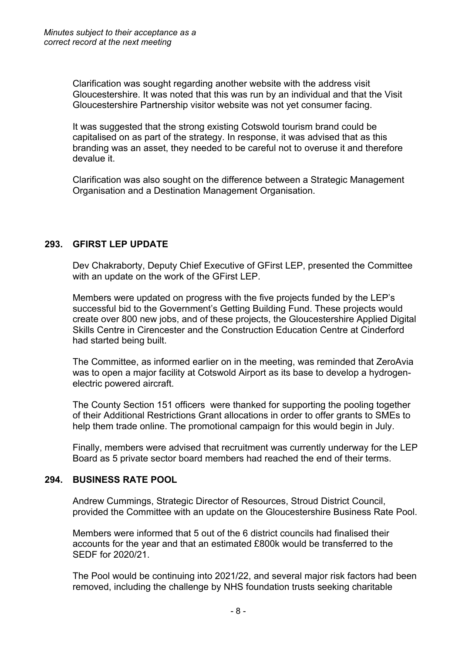Clarification was sought regarding another website with the address visit Gloucestershire. It was noted that this was run by an individual and that the Visit Gloucestershire Partnership visitor website was not yet consumer facing.

It was suggested that the strong existing Cotswold tourism brand could be capitalised on as part of the strategy. In response, it was advised that as this branding was an asset, they needed to be careful not to overuse it and therefore devalue it.

Clarification was also sought on the difference between a Strategic Management Organisation and a Destination Management Organisation.

## **293. GFIRST LEP UPDATE**

Dev Chakraborty, Deputy Chief Executive of GFirst LEP, presented the Committee with an update on the work of the GFirst LEP.

Members were updated on progress with the five projects funded by the LEP's successful bid to the Government's Getting Building Fund. These projects would create over 800 new jobs, and of these projects, the Gloucestershire Applied Digital Skills Centre in Cirencester and the Construction Education Centre at Cinderford had started being built.

The Committee, as informed earlier on in the meeting, was reminded that ZeroAvia was to open a major facility at Cotswold Airport as its base to develop a hydrogenelectric powered aircraft.

The County Section 151 officers were thanked for supporting the pooling together of their Additional Restrictions Grant allocations in order to offer grants to SMEs to help them trade online. The promotional campaign for this would begin in July.

Finally, members were advised that recruitment was currently underway for the LEP Board as 5 private sector board members had reached the end of their terms.

## **294. BUSINESS RATE POOL**

Andrew Cummings, Strategic Director of Resources, Stroud District Council, provided the Committee with an update on the Gloucestershire Business Rate Pool.

Members were informed that 5 out of the 6 district councils had finalised their accounts for the year and that an estimated £800k would be transferred to the SEDF for 2020/21.

The Pool would be continuing into 2021/22, and several major risk factors had been removed, including the challenge by NHS foundation trusts seeking charitable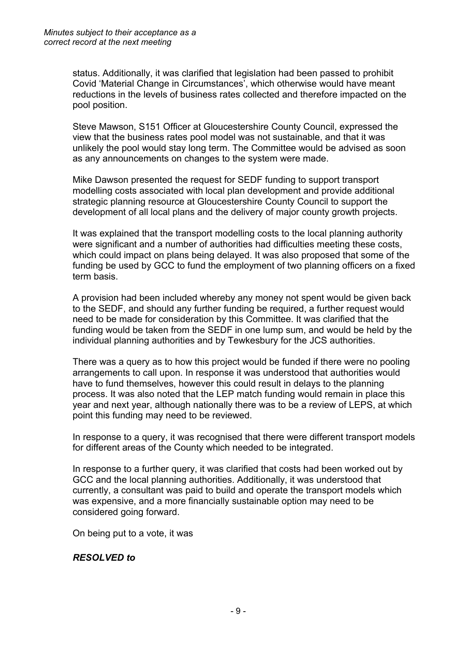status. Additionally, it was clarified that legislation had been passed to prohibit Covid 'Material Change in Circumstances', which otherwise would have meant reductions in the levels of business rates collected and therefore impacted on the pool position.

Steve Mawson, S151 Officer at Gloucestershire County Council, expressed the view that the business rates pool model was not sustainable, and that it was unlikely the pool would stay long term. The Committee would be advised as soon as any announcements on changes to the system were made.

Mike Dawson presented the request for SEDF funding to support transport modelling costs associated with local plan development and provide additional strategic planning resource at Gloucestershire County Council to support the development of all local plans and the delivery of major county growth projects.

It was explained that the transport modelling costs to the local planning authority were significant and a number of authorities had difficulties meeting these costs, which could impact on plans being delayed. It was also proposed that some of the funding be used by GCC to fund the employment of two planning officers on a fixed term basis.

A provision had been included whereby any money not spent would be given back to the SEDF, and should any further funding be required, a further request would need to be made for consideration by this Committee. It was clarified that the funding would be taken from the SEDF in one lump sum, and would be held by the individual planning authorities and by Tewkesbury for the JCS authorities.

There was a query as to how this project would be funded if there were no pooling arrangements to call upon. In response it was understood that authorities would have to fund themselves, however this could result in delays to the planning process. It was also noted that the LEP match funding would remain in place this year and next year, although nationally there was to be a review of LEPS, at which point this funding may need to be reviewed.

In response to a query, it was recognised that there were different transport models for different areas of the County which needed to be integrated.

In response to a further query, it was clarified that costs had been worked out by GCC and the local planning authorities. Additionally, it was understood that currently, a consultant was paid to build and operate the transport models which was expensive, and a more financially sustainable option may need to be considered going forward.

On being put to a vote, it was

#### *RESOLVED to*